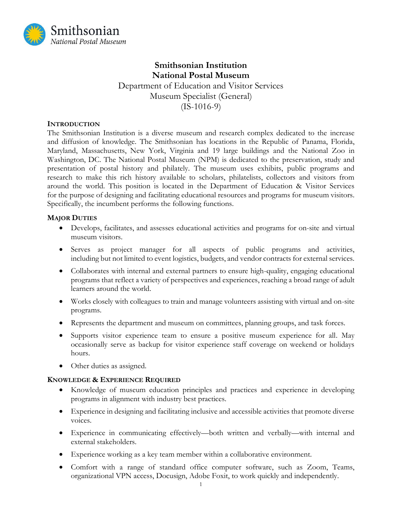

# **Smithsonian Institution National Postal Museum**  Department of Education and Visitor Services Museum Specialist (General) (IS-1016-9)

### **INTRODUCTION**

 The Smithsonian Institution is a diverse museum and research complex dedicated to the increase and diffusion of knowledge. The Smithsonian has locations in the Republic of Panama, Florida, Maryland, Massachusetts, New York, Virginia and 19 large buildings and the National Zoo in Washington, DC. The National Postal Museum (NPM) is dedicated to the preservation, study and presentation of postal history and philately. The museum uses exhibits, public programs and research to make this rich history available to scholars, philatelists, collectors and visitors from around the world. This position is located in the Department of Education & Visitor Services for the purpose of designing and facilitating educational resources and programs for museum visitors. Specifically, the incumbent performs the following functions.

# **MAJOR DUTIES**

- Develops, facilitates, and assesses educational activities and programs for on-site and virtual museum visitors.
- • Serves as project manager for all aspects of public programs and activities, including but not limited to event logistics, budgets, and vendor contracts for external services.
- • Collaborates with internal and external partners to ensure high-quality, engaging educational programs that reflect a variety of perspectives and experiences, reaching a broad range of adult learners around the world.
- Works closely with colleagues to train and manage volunteers assisting with virtual and on-site programs.
- Represents the department and museum on committees, planning groups, and task forces.
- • Supports visitor experience team to ensure a positive museum experience for all. May occasionally serve as backup for visitor experience staff coverage on weekend or holidays hours.
- Other duties as assigned.

#### **KNOWLEDGE & EXPERIENCE REQUIRED**

- • Knowledge of museum education principles and practices and experience in developing programs in alignment with industry best practices.
- • Experience in designing and facilitating inclusive and accessible activities that promote diverse voices.
- Experience in communicating effectively—both written and verbally—with internal and external stakeholders.
- Experience working as a key team member within a collaborative environment.
- • Comfort with a range of standard office computer software, such as Zoom, Teams, organizational VPN access, Docusign, Adobe Foxit, to work quickly and independently.